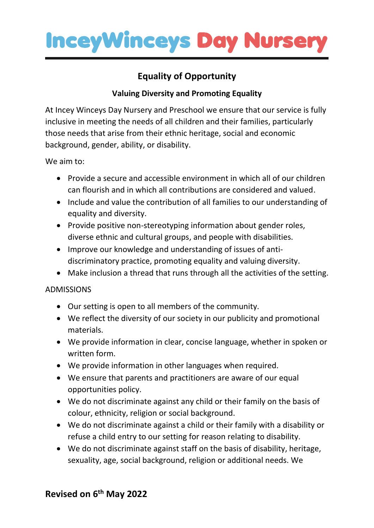

# **Equality of Opportunity**

### **Valuing Diversity and Promoting Equality**

At Incey Winceys Day Nursery and Preschool we ensure that our service is fully inclusive in meeting the needs of all children and their families, particularly those needs that arise from their ethnic heritage, social and economic background, gender, ability, or disability.

We aim to:

- Provide a secure and accessible environment in which all of our children can flourish and in which all contributions are considered and valued.
- Include and value the contribution of all families to our understanding of equality and diversity.
- Provide positive non-stereotyping information about gender roles, diverse ethnic and cultural groups, and people with disabilities.
- Improve our knowledge and understanding of issues of antidiscriminatory practice, promoting equality and valuing diversity.
- Make inclusion a thread that runs through all the activities of the setting.

#### ADMISSIONS

- Our setting is open to all members of the community.
- We reflect the diversity of our society in our publicity and promotional materials.
- We provide information in clear, concise language, whether in spoken or written form.
- We provide information in other languages when required.
- We ensure that parents and practitioners are aware of our equal opportunities policy.
- We do not discriminate against any child or their family on the basis of colour, ethnicity, religion or social background.
- We do not discriminate against a child or their family with a disability or refuse a child entry to our setting for reason relating to disability.
- We do not discriminate against staff on the basis of disability, heritage, sexuality, age, social background, religion or additional needs. We

## **Revised on 6 th May 2022**